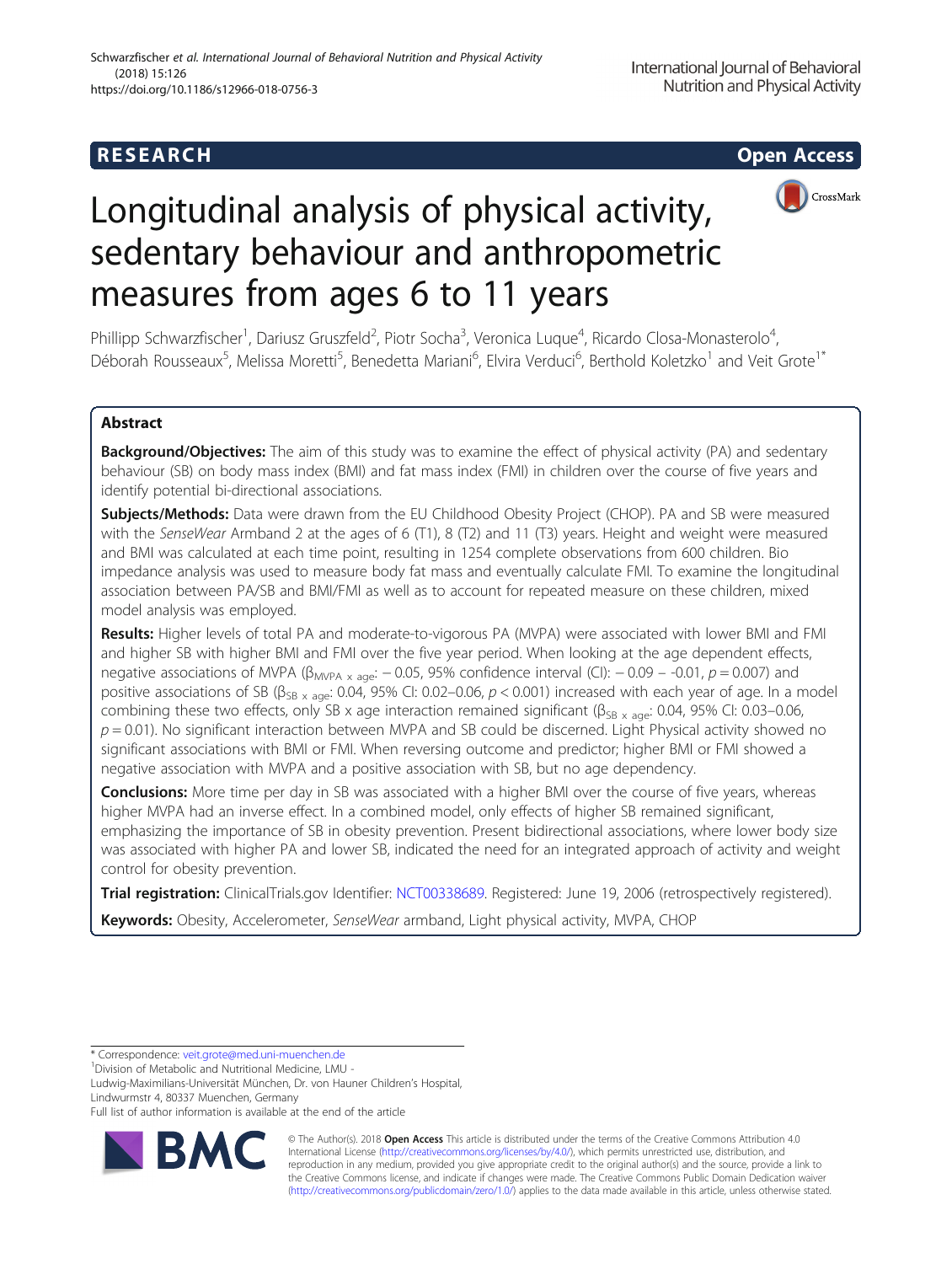# **RESEARCH CHEAR CHEAR CHEAR CHEAR CHEAR CHEAR CHEAR CHEAR CHEAR CHEAR CHEAR CHEAR CHEAR CHEAR CHEAR CHEAR CHEAR**





# Longitudinal analysis of physical activity, sedentary behaviour and anthropometric measures from ages 6 to 11 years

Phillipp Schwarzfischer<sup>1</sup>, Dariusz Gruszfeld<sup>2</sup>, Piotr Socha<sup>3</sup>, Veronica Luque<sup>4</sup>, Ricardo Closa-Monasterolo<sup>4</sup> , Déborah Rousseaux<sup>5</sup>, Melissa Moretti<sup>5</sup>, Benedetta Mariani<sup>6</sup>, Elvira Verduci<sup>6</sup>, Berthold Koletzko<sup>1</sup> and Veit Grote<sup>1\*</sup>

## Abstract

Background/Objectives: The aim of this study was to examine the effect of physical activity (PA) and sedentary behaviour (SB) on body mass index (BMI) and fat mass index (FMI) in children over the course of five years and identify potential bi-directional associations.

Subjects/Methods: Data were drawn from the EU Childhood Obesity Project (CHOP). PA and SB were measured with the SenseWear Armband 2 at the ages of 6 (T1), 8 (T2) and 11 (T3) years. Height and weight were measured and BMI was calculated at each time point, resulting in 1254 complete observations from 600 children. Bio impedance analysis was used to measure body fat mass and eventually calculate FMI. To examine the longitudinal association between PA/SB and BMI/FMI as well as to account for repeated measure on these children, mixed model analysis was employed.

Results: Higher levels of total PA and moderate-to-vigorous PA (MVPA) were associated with lower BMI and FMI and higher SB with higher BMI and FMI over the five year period. When looking at the age dependent effects, negative associations of MVPA (β<sub>MVPA x age</sub>: − 0.05, 95% confidence interval (CI): − 0.09 – -0.01, p = 0.007) and positive associations of SB ( $β_{SB \times aqe}$ : 0.04, 95% CI: 0.02–0.06,  $p < 0.001$ ) increased with each year of age. In a model combining these two effects, only SB x age interaction remained significant ( $\beta_{SB}$  x age: 0.04, 95% CI: 0.03–0.06,  $p = 0.01$ ). No significant interaction between MVPA and SB could be discerned. Light Physical activity showed no significant associations with BMI or FMI. When reversing outcome and predictor; higher BMI or FMI showed a negative association with MVPA and a positive association with SB, but no age dependency.

**Conclusions:** More time per day in SB was associated with a higher BMI over the course of five years, whereas higher MVPA had an inverse effect. In a combined model, only effects of higher SB remained significant, emphasizing the importance of SB in obesity prevention. Present bidirectional associations, where lower body size was associated with higher PA and lower SB, indicated the need for an integrated approach of activity and weight control for obesity prevention.

Trial registration: ClinicalTrials.gov Identifier: [NCT00338689](https://clinicaltrials.gov/ct2/show/NCT00338689). Registered: June 19, 2006 (retrospectively registered). Keywords: Obesity, Accelerometer, SenseWear armband, Light physical activity, MVPA, CHOP

\* Correspondence: [veit.grote@med.uni-muenchen.de](mailto:veit.grote@med.uni-muenchen.de) <sup>1</sup>

Ludwig-Maximilians-Universität München, Dr. von Hauner Children's Hospital, Lindwurmstr 4, 80337 Muenchen, Germany

Full list of author information is available at the end of the article



© The Author(s). 2018 Open Access This article is distributed under the terms of the Creative Commons Attribution 4.0 International License [\(http://creativecommons.org/licenses/by/4.0/](http://creativecommons.org/licenses/by/4.0/)), which permits unrestricted use, distribution, and reproduction in any medium, provided you give appropriate credit to the original author(s) and the source, provide a link to the Creative Commons license, and indicate if changes were made. The Creative Commons Public Domain Dedication waiver [\(http://creativecommons.org/publicdomain/zero/1.0/](http://creativecommons.org/publicdomain/zero/1.0/)) applies to the data made available in this article, unless otherwise stated.

Division of Metabolic and Nutritional Medicine, LMU -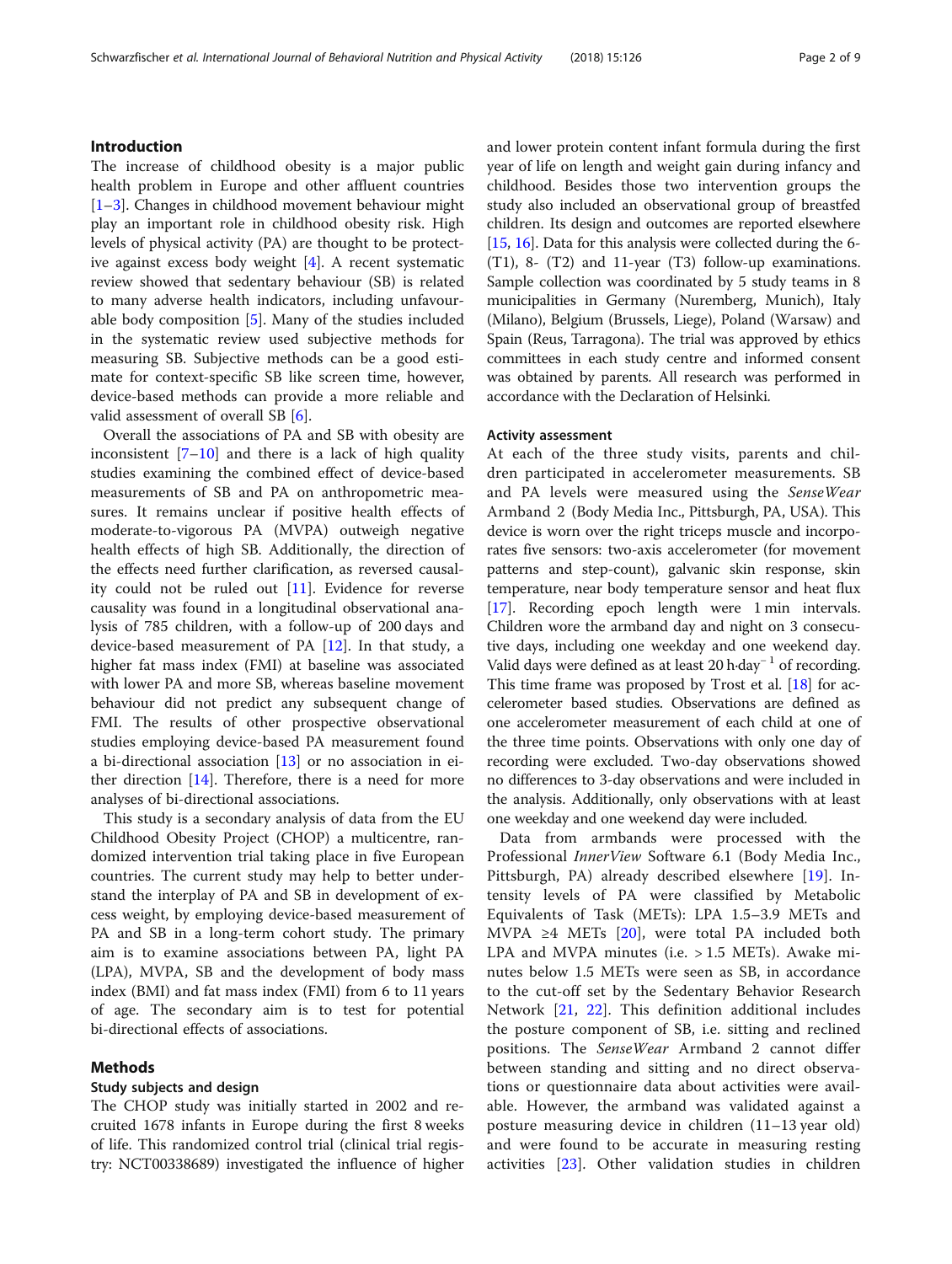## Introduction

The increase of childhood obesity is a major public health problem in Europe and other affluent countries  $[1-3]$  $[1-3]$  $[1-3]$  $[1-3]$ . Changes in childhood movement behaviour might play an important role in childhood obesity risk. High levels of physical activity (PA) are thought to be protective against excess body weight [[4\]](#page-7-0). A recent systematic review showed that sedentary behaviour (SB) is related to many adverse health indicators, including unfavourable body composition [[5](#page-7-0)]. Many of the studies included in the systematic review used subjective methods for measuring SB. Subjective methods can be a good estimate for context-specific SB like screen time, however, device-based methods can provide a more reliable and valid assessment of overall SB [[6\]](#page-7-0).

Overall the associations of PA and SB with obesity are inconsistent  $[7-10]$  $[7-10]$  $[7-10]$  $[7-10]$  $[7-10]$  and there is a lack of high quality studies examining the combined effect of device-based measurements of SB and PA on anthropometric measures. It remains unclear if positive health effects of moderate-to-vigorous PA (MVPA) outweigh negative health effects of high SB. Additionally, the direction of the effects need further clarification, as reversed causality could not be ruled out [[11](#page-7-0)]. Evidence for reverse causality was found in a longitudinal observational analysis of 785 children, with a follow-up of 200 days and device-based measurement of PA [[12\]](#page-7-0). In that study, a higher fat mass index (FMI) at baseline was associated with lower PA and more SB, whereas baseline movement behaviour did not predict any subsequent change of FMI. The results of other prospective observational studies employing device-based PA measurement found a bi-directional association [[13](#page-7-0)] or no association in either direction [[14\]](#page-7-0). Therefore, there is a need for more analyses of bi-directional associations.

This study is a secondary analysis of data from the EU Childhood Obesity Project (CHOP) a multicentre, randomized intervention trial taking place in five European countries. The current study may help to better understand the interplay of PA and SB in development of excess weight, by employing device-based measurement of PA and SB in a long-term cohort study. The primary aim is to examine associations between PA, light PA (LPA), MVPA, SB and the development of body mass index (BMI) and fat mass index (FMI) from 6 to 11 years of age. The secondary aim is to test for potential bi-directional effects of associations.

## Methods

## Study subjects and design

The CHOP study was initially started in 2002 and recruited 1678 infants in Europe during the first 8 weeks of life. This randomized control trial (clinical trial registry: NCT00338689) investigated the influence of higher and lower protein content infant formula during the first year of life on length and weight gain during infancy and childhood. Besides those two intervention groups the study also included an observational group of breastfed children. Its design and outcomes are reported elsewhere [[15](#page-7-0), [16\]](#page-7-0). Data for this analysis were collected during the 6-(T1), 8- (T2) and 11-year (T3) follow-up examinations. Sample collection was coordinated by 5 study teams in 8 municipalities in Germany (Nuremberg, Munich), Italy (Milano), Belgium (Brussels, Liege), Poland (Warsaw) and Spain (Reus, Tarragona). The trial was approved by ethics committees in each study centre and informed consent was obtained by parents. All research was performed in accordance with the Declaration of Helsinki.

## Activity assessment

At each of the three study visits, parents and children participated in accelerometer measurements. SB and PA levels were measured using the SenseWear Armband 2 (Body Media Inc., Pittsburgh, PA, USA). This device is worn over the right triceps muscle and incorporates five sensors: two-axis accelerometer (for movement patterns and step-count), galvanic skin response, skin temperature, near body temperature sensor and heat flux [[17](#page-7-0)]. Recording epoch length were 1 min intervals. Children wore the armband day and night on 3 consecutive days, including one weekday and one weekend day. Valid days were defined as at least 20 h·day<sup>-1</sup> of recording. This time frame was proposed by Trost et al. [[18](#page-7-0)] for accelerometer based studies. Observations are defined as one accelerometer measurement of each child at one of the three time points. Observations with only one day of recording were excluded. Two-day observations showed no differences to 3-day observations and were included in the analysis. Additionally, only observations with at least one weekday and one weekend day were included.

Data from armbands were processed with the Professional InnerView Software 6.1 (Body Media Inc., Pittsburgh, PA) already described elsewhere [\[19](#page-7-0)]. Intensity levels of PA were classified by Metabolic Equivalents of Task (METs): LPA 1.5–3.9 METs and MVPA ≥4 METs  $[20]$  $[20]$ , were total PA included both LPA and MVPA minutes (i.e. > 1.5 METs). Awake minutes below 1.5 METs were seen as SB, in accordance to the cut-off set by the Sedentary Behavior Research Network [[21,](#page-7-0) [22](#page-7-0)]. This definition additional includes the posture component of SB, i.e. sitting and reclined positions. The SenseWear Armband 2 cannot differ between standing and sitting and no direct observations or questionnaire data about activities were available. However, the armband was validated against a posture measuring device in children (11–13 year old) and were found to be accurate in measuring resting activities [\[23](#page-7-0)]. Other validation studies in children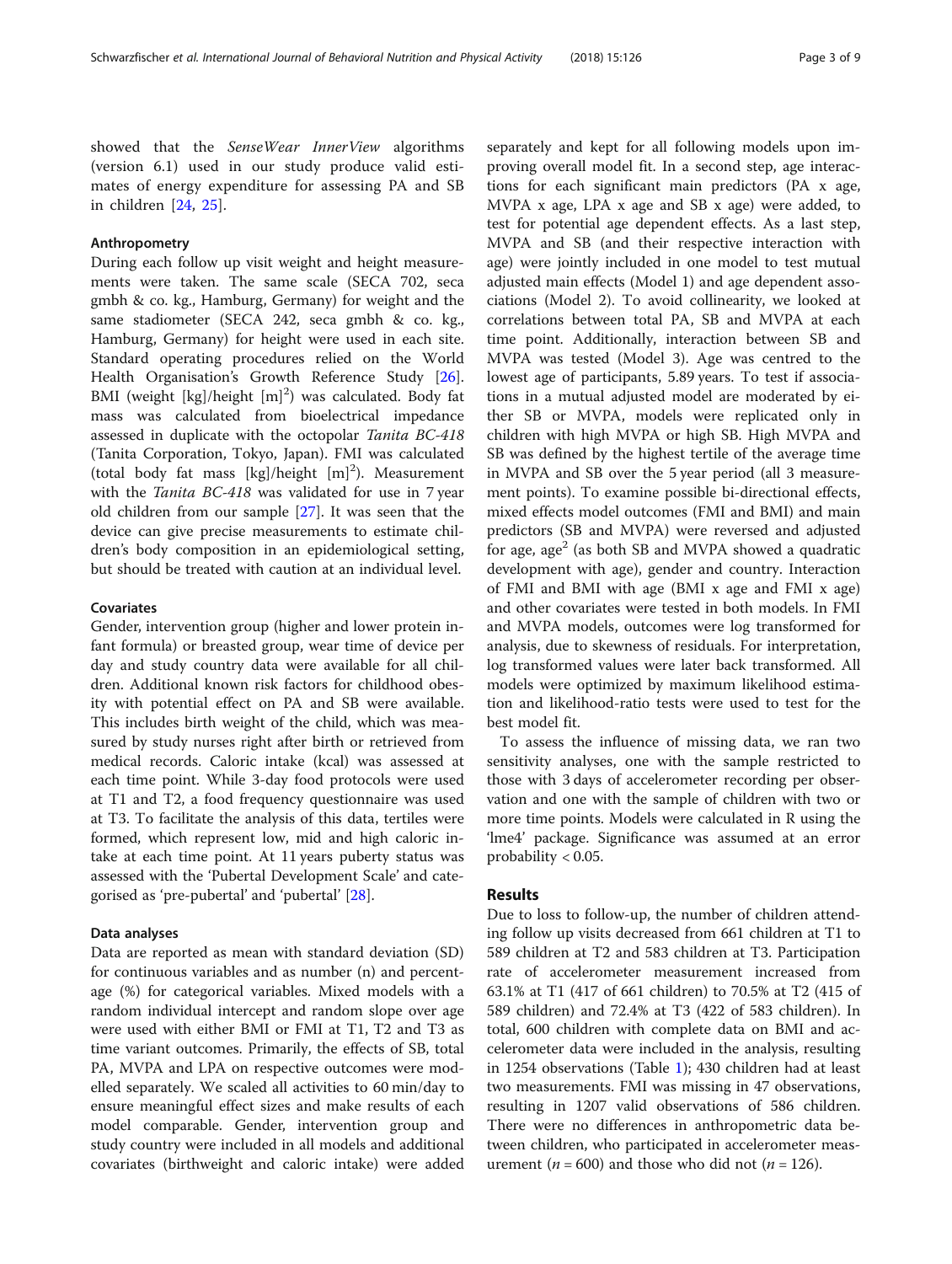showed that the SenseWear InnerView algorithms (version 6.1) used in our study produce valid estimates of energy expenditure for assessing PA and SB in children [\[24](#page-7-0), [25](#page-7-0)].

## Anthropometry

During each follow up visit weight and height measurements were taken. The same scale (SECA 702, seca gmbh & co. kg., Hamburg, Germany) for weight and the same stadiometer (SECA 242, seca gmbh & co. kg., Hamburg, Germany) for height were used in each site. Standard operating procedures relied on the World Health Organisation's Growth Reference Study [\[26](#page-7-0)]. BMI (weight [kg]/height [m]<sup>2</sup>) was calculated. Body fat mass was calculated from bioelectrical impedance assessed in duplicate with the octopolar Tanita BC-418 (Tanita Corporation, Tokyo, Japan). FMI was calculated (total body fat mass [kg]/height  $[m]^2$ ). Measurement with the *Tanita BC-418* was validated for use in 7 year old children from our sample [[27\]](#page-7-0). It was seen that the device can give precise measurements to estimate children's body composition in an epidemiological setting, but should be treated with caution at an individual level.

## Covariates

Gender, intervention group (higher and lower protein infant formula) or breasted group, wear time of device per day and study country data were available for all children. Additional known risk factors for childhood obesity with potential effect on PA and SB were available. This includes birth weight of the child, which was measured by study nurses right after birth or retrieved from medical records. Caloric intake (kcal) was assessed at each time point. While 3-day food protocols were used at T1 and T2, a food frequency questionnaire was used at T3. To facilitate the analysis of this data, tertiles were formed, which represent low, mid and high caloric intake at each time point. At 11 years puberty status was assessed with the 'Pubertal Development Scale' and categorised as 'pre-pubertal' and 'pubertal' [\[28](#page-8-0)].

## Data analyses

Data are reported as mean with standard deviation (SD) for continuous variables and as number (n) and percentage (%) for categorical variables. Mixed models with a random individual intercept and random slope over age were used with either BMI or FMI at T1, T2 and T3 as time variant outcomes. Primarily, the effects of SB, total PA, MVPA and LPA on respective outcomes were modelled separately. We scaled all activities to 60 min/day to ensure meaningful effect sizes and make results of each model comparable. Gender, intervention group and study country were included in all models and additional covariates (birthweight and caloric intake) were added separately and kept for all following models upon improving overall model fit. In a second step, age interactions for each significant main predictors (PA x age, MVPA x age, LPA x age and SB x age) were added, to test for potential age dependent effects. As a last step, MVPA and SB (and their respective interaction with age) were jointly included in one model to test mutual adjusted main effects (Model 1) and age dependent associations (Model 2). To avoid collinearity, we looked at correlations between total PA, SB and MVPA at each time point. Additionally, interaction between SB and MVPA was tested (Model 3). Age was centred to the lowest age of participants, 5.89 years. To test if associations in a mutual adjusted model are moderated by either SB or MVPA, models were replicated only in children with high MVPA or high SB. High MVPA and SB was defined by the highest tertile of the average time in MVPA and SB over the 5 year period (all 3 measurement points). To examine possible bi-directional effects, mixed effects model outcomes (FMI and BMI) and main predictors (SB and MVPA) were reversed and adjusted for age, age<sup>2</sup> (as both SB and MVPA showed a quadratic development with age), gender and country. Interaction of FMI and BMI with age (BMI x age and FMI x age) and other covariates were tested in both models. In FMI and MVPA models, outcomes were log transformed for analysis, due to skewness of residuals. For interpretation, log transformed values were later back transformed. All models were optimized by maximum likelihood estimation and likelihood-ratio tests were used to test for the best model fit.

To assess the influence of missing data, we ran two sensitivity analyses, one with the sample restricted to those with 3 days of accelerometer recording per observation and one with the sample of children with two or more time points. Models were calculated in R using the 'lme4' package. Significance was assumed at an error probability  $< 0.05$ .

## Results

Due to loss to follow-up, the number of children attending follow up visits decreased from 661 children at T1 to 589 children at T2 and 583 children at T3. Participation rate of accelerometer measurement increased from 63.1% at T1 (417 of 661 children) to 70.5% at T2 (415 of 589 children) and 72.4% at T3 (422 of 583 children). In total, 600 children with complete data on BMI and accelerometer data were included in the analysis, resulting in 1254 observations (Table [1](#page-3-0)); 430 children had at least two measurements. FMI was missing in 47 observations, resulting in 1207 valid observations of 586 children. There were no differences in anthropometric data between children, who participated in accelerometer measurement ( $n = 600$ ) and those who did not ( $n = 126$ ).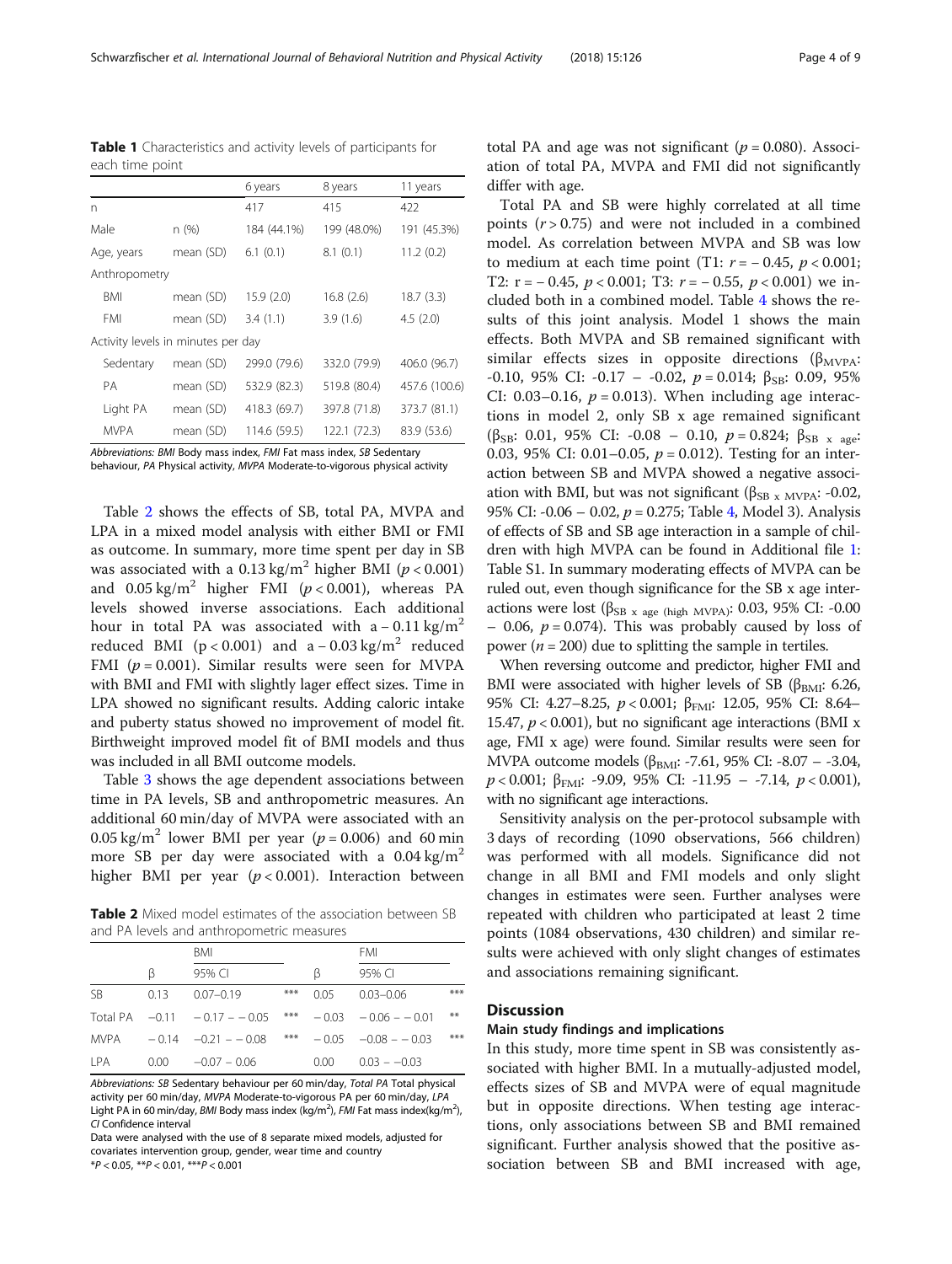Abbreviations: BMI Body mass index, FMI Fat mass index, SB Sedentary behaviour, PA Physical activity, MVPA Moderate-to-vigorous physical activity

BMI mean (SD) 15.9 (2.0) 16.8 (2.6) 18.7 (3.3) FMI mean (SD) 3.4 (1.1) 3.9 (1.6) 4.5 (2.0)

Sedentary mean (SD) 299.0 (79.6) 332.0 (79.9) 406.0 (96.7) PA mean (SD) 532.9 (82.3) 519.8 (80.4) 457.6 (100.6) Light PA mean (SD) 418.3 (69.7) 397.8 (71.8) 373.7 (81.1) MVPA mean (SD) 114.6 (59.5) 122.1 (72.3) 83.9 (53.6)

Table 2 shows the effects of SB, total PA, MVPA and LPA in a mixed model analysis with either BMI or FMI as outcome. In summary, more time spent per day in SB was associated with a  $0.13 \text{ kg/m}^2$  higher BMI ( $p < 0.001$ ) and  $0.05 \text{ kg/m}^2$  higher FMI ( $p < 0.001$ ), whereas PA levels showed inverse associations. Each additional hour in total PA was associated with  $a - 0.11 \text{ kg/m}^2$ reduced BMI ( $p < 0.001$ ) and a – 0.03 kg/m<sup>2</sup> reduced FMI ( $p = 0.001$ ). Similar results were seen for MVPA with BMI and FMI with slightly lager effect sizes. Time in LPA showed no significant results. Adding caloric intake and puberty status showed no improvement of model fit. Birthweight improved model fit of BMI models and thus was included in all BMI outcome models.

Table [3](#page-4-0) shows the age dependent associations between time in PA levels, SB and anthropometric measures. An additional 60 min/day of MVPA were associated with an  $0.05 \text{ kg/m}^2$  lower BMI per year ( $p = 0.006$ ) and 60 min more SB per day were associated with a  $0.04 \text{ kg/m}^2$ higher BMI per year  $(p < 0.001)$ . Interaction between

Table 2 Mixed model estimates of the association between SB and PA levels and anthropometric measures

|           |      | BMI                            |       |      | <b>FMI</b>                |     |
|-----------|------|--------------------------------|-------|------|---------------------------|-----|
|           | ß    | 95% CI                         |       | ß    | 95% CI                    |     |
| <b>SB</b> | 0.13 | $0.07 - 0.19$                  | $***$ | 0.05 | $0.03 - 0.06$             | *** |
|           |      | Total PA $-0.11 - 0.17 - 0.05$ |       |      | *** $-0.03 - 0.06 - 0.01$ | **  |
| MVPA      |      | $-0.14 - 0.21 - 0.08$          | ***   |      | $-0.05 - 0.08 - 0.03$     | *** |
| I PA      |      | $0.00 -0.07 - 0.06$            |       | 0.00 | $0.03 - 0.03$             |     |

Abbreviations: SB Sedentary behaviour per 60 min/day, Total PA Total physical activity per 60 min/day, MVPA Moderate-to-vigorous PA per 60 min/day, LPA Light PA in 60 min/day, BMI Body mass index (kg/m<sup>2</sup>), FMI Fat mass index(kg/m<sup>2</sup>), CI Confidence interval

Data were analysed with the use of 8 separate mixed models, adjusted for covariates intervention group, gender, wear time and country  $*P < 0.05$ ,  $*P < 0.01$ ,  $**P < 0.001$ 

total PA and age was not significant ( $p = 0.080$ ). Association of total PA, MVPA and FMI did not significantly differ with age.

Total PA and SB were highly correlated at all time points  $(r > 0.75)$  and were not included in a combined model. As correlation between MVPA and SB was low to medium at each time point (T1:  $r = -0.45$ ,  $p < 0.001$ ; T2:  $r = -0.45$ ,  $p < 0.001$ ; T3:  $r = -0.55$ ,  $p < 0.001$ ) we included both in a combined model. Table [4](#page-4-0) shows the results of this joint analysis. Model 1 shows the main effects. Both MVPA and SB remained significant with similar effects sizes in opposite directions ( $\beta_{MVPA}$ :  $-0.10$ , 95% CI:  $-0.17 - 0.02$ ,  $p = 0.014$ ;  $\beta_{\text{SR}}$ : 0.09, 95% CI: 0.03-0.16,  $p = 0.013$ ). When including age interactions in model 2, only SB x age remained significant ( $\beta_{SB}$ : 0.01, 95% CI: -0.08 – 0.10,  $p = 0.824$ ;  $\beta_{SB}$  <sub>x age</sub>: 0.03, 95% CI: 0.01–0.05,  $p = 0.012$ ). Testing for an interaction between SB and MVPA showed a negative association with BMI, but was not significant ( $\beta_{SB \, x \, MVPA}$ : -0.02, 95% CI: -0.06 – 0.02,  $p = 0.275$ ; Table [4,](#page-4-0) Model 3). Analysis of effects of SB and SB age interaction in a sample of children with high MVPA can be found in Additional file [1](#page-6-0): Table S1. In summary moderating effects of MVPA can be ruled out, even though significance for the SB x age interactions were lost ( $β_{SB} x$  age (high MVPA): 0.03, 95% CI: -0.00 – 0.06,  $p = 0.074$ ). This was probably caused by loss of power ( $n = 200$ ) due to splitting the sample in tertiles.

When reversing outcome and predictor, higher FMI and BMI were associated with higher levels of SB ( $\beta_{\text{BMI}}$ : 6.26, 95% CI: 4.27-8.25, p < 0.001; β<sub>FMI</sub>: 12.05, 95% CI: 8.64-15.47,  $p < 0.001$ ), but no significant age interactions (BMI x age, FMI x age) were found. Similar results were seen for MVPA outcome models ( $β_{BMI}$ : -7.61, 95% CI: -8.07 – -3.04,  $p < 0.001$ ;  $\beta_{\text{FMI}}$ : -9.09, 95% CI: -11.95 – -7.14,  $p < 0.001$ ), with no significant age interactions.

Sensitivity analysis on the per-protocol subsample with 3 days of recording (1090 observations, 566 children) was performed with all models. Significance did not change in all BMI and FMI models and only slight changes in estimates were seen. Further analyses were repeated with children who participated at least 2 time points (1084 observations, 430 children) and similar results were achieved with only slight changes of estimates and associations remaining significant.

## **Discussion**

### Main study findings and implications

In this study, more time spent in SB was consistently associated with higher BMI. In a mutually-adjusted model, effects sizes of SB and MVPA were of equal magnitude but in opposite directions. When testing age interactions, only associations between SB and BMI remained significant. Further analysis showed that the positive association between SB and BMI increased with age,

<span id="page-3-0"></span>Schwarzfischer et al. International Journal of Behavioral Nutrition and Physical Activity (2018) 15:126 Page 4 of 9

| <b>Table 1</b> Characteristics and activity levels of participants for |  |
|------------------------------------------------------------------------|--|
| each time point                                                        |  |

n 417 415 422 Male n (%) 184 (44.1%) 199 (48.0%) 191 (45.3%) Age, years mean (SD) 6.1 (0.1) 8.1 (0.1) 11.2 (0.2)

Anthropometry

Activity levels in minutes per day

6 years 8 years 11 years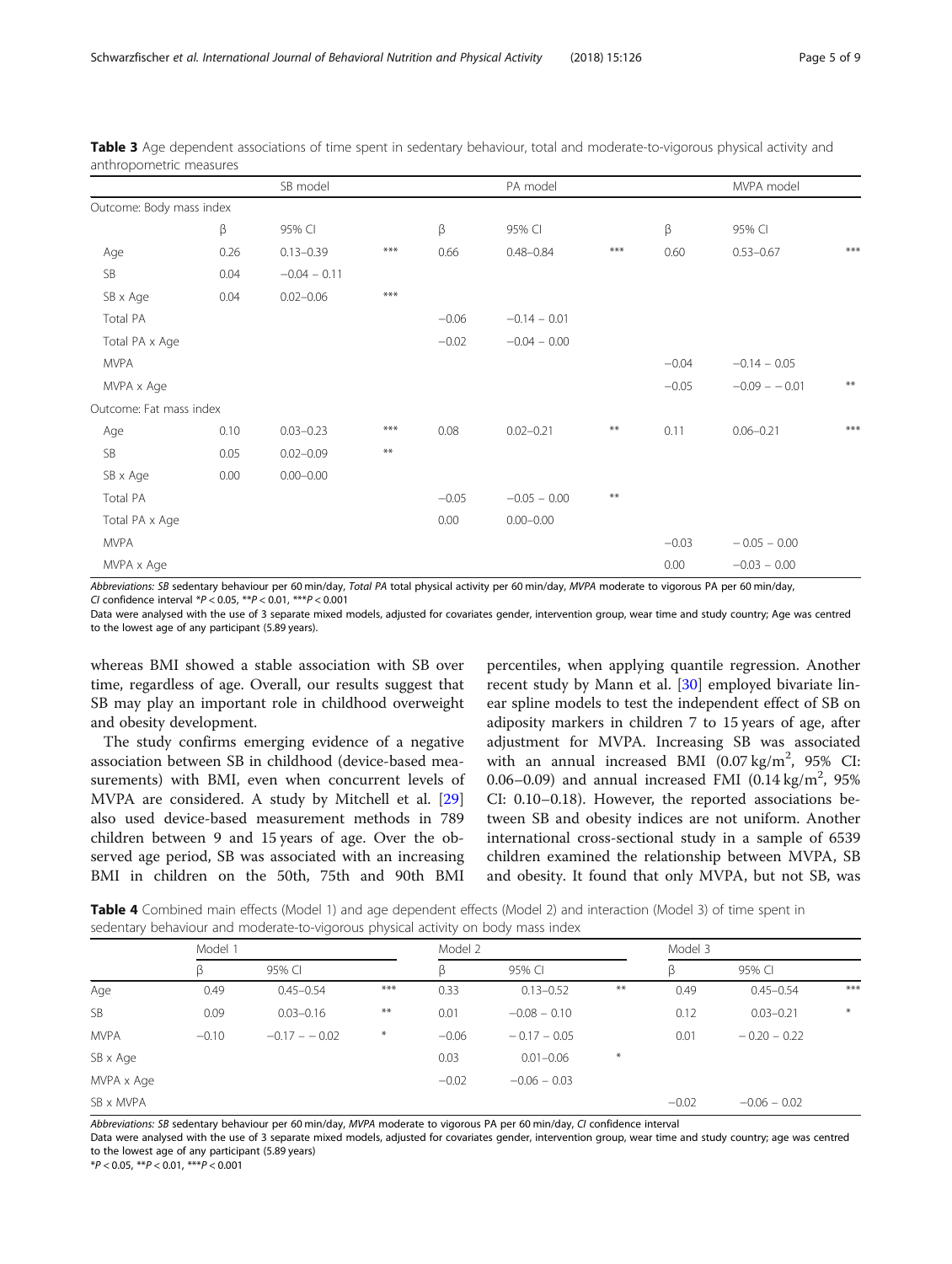|                          |      | SB model       |       |         | PA model       |            |         | MVPA model     |       |
|--------------------------|------|----------------|-------|---------|----------------|------------|---------|----------------|-------|
| Outcome: Body mass index |      |                |       |         |                |            |         |                |       |
|                          | β    | 95% CI         |       | β       | 95% CI         |            | β       | 95% CI         |       |
| Age                      | 0.26 | $0.13 - 0.39$  | $***$ | 0.66    | $0.48 - 0.84$  | ***        | 0.60    | $0.53 - 0.67$  | $***$ |
| SB                       | 0.04 | $-0.04 - 0.11$ |       |         |                |            |         |                |       |
| SB x Age                 | 0.04 | $0.02 - 0.06$  | $***$ |         |                |            |         |                |       |
| Total PA                 |      |                |       | $-0.06$ | $-0.14 - 0.01$ |            |         |                |       |
| Total PA x Age           |      |                |       | $-0.02$ | $-0.04 - 0.00$ |            |         |                |       |
| <b>MVPA</b>              |      |                |       |         |                |            | $-0.04$ | $-0.14 - 0.05$ |       |
| MVPA x Age               |      |                |       |         |                |            | $-0.05$ | $-0.09 - 0.01$ | $***$ |
| Outcome: Fat mass index  |      |                |       |         |                |            |         |                |       |
| Age                      | 0.10 | $0.03 - 0.23$  | $***$ | 0.08    | $0.02 - 0.21$  | $\ast\ast$ | 0.11    | $0.06 - 0.21$  | $***$ |
| <b>SB</b>                | 0.05 | $0.02 - 0.09$  | $***$ |         |                |            |         |                |       |
| SB x Age                 | 0.00 | $0.00 - 0.00$  |       |         |                |            |         |                |       |
| Total PA                 |      |                |       | $-0.05$ | $-0.05 - 0.00$ | $***$      |         |                |       |
| Total PA x Age           |      |                |       | 0.00    | $0.00 - 0.00$  |            |         |                |       |
| <b>MVPA</b>              |      |                |       |         |                |            | $-0.03$ | $-0.05 - 0.00$ |       |
| MVPA x Age               |      |                |       |         |                |            | 0.00    | $-0.03 - 0.00$ |       |

<span id="page-4-0"></span>Table 3 Age dependent associations of time spent in sedentary behaviour, total and moderate-to-vigorous physical activity and anthropometric measures

Abbreviations: SB sedentary behaviour per 60 min/day, Total PA total physical activity per 60 min/day, MVPA moderate to vigorous PA per 60 min/day, CI confidence interval \*P < 0.05, \*\*P < 0.01, \*\*\*P < 0.001

Data were analysed with the use of 3 separate mixed models, adjusted for covariates gender, intervention group, wear time and study country; Age was centred to the lowest age of any participant (5.89 years).

whereas BMI showed a stable association with SB over time, regardless of age. Overall, our results suggest that SB may play an important role in childhood overweight and obesity development.

The study confirms emerging evidence of a negative association between SB in childhood (device-based measurements) with BMI, even when concurrent levels of MVPA are considered. A study by Mitchell et al. [[29](#page-8-0)] also used device-based measurement methods in 789 children between 9 and 15 years of age. Over the observed age period, SB was associated with an increasing BMI in children on the 50th, 75th and 90th BMI percentiles, when applying quantile regression. Another recent study by Mann et al. [[30\]](#page-8-0) employed bivariate linear spline models to test the independent effect of SB on adiposity markers in children 7 to 15 years of age, after adjustment for MVPA. Increasing SB was associated with an annual increased BMI  $(0.07 \text{ kg/m}^2, 95\% \text{ CI}$ 0.06-0.09) and annual increased FMI (0.14 kg/m<sup>2</sup>, 95% CI: 0.10–0.18). However, the reported associations between SB and obesity indices are not uniform. Another international cross-sectional study in a sample of 6539 children examined the relationship between MVPA, SB and obesity. It found that only MVPA, but not SB, was

Table 4 Combined main effects (Model 1) and age dependent effects (Model 2) and interaction (Model 3) of time spent in sedentary behaviour and moderate-to-vigorous physical activity on body mass index

|             | Model 1 |                |        | Model 2 |                |        | Model 3 |                |       |
|-------------|---------|----------------|--------|---------|----------------|--------|---------|----------------|-------|
|             | β       | 95% CI         |        |         | 95% CI         |        | β       | 95% CI         |       |
| Age         | 0.49    | $0.45 - 0.54$  | $***$  | 0.33    | $0.13 - 0.52$  | $***$  | 0.49    | $0.45 - 0.54$  | $***$ |
| <b>SB</b>   | 0.09    | $0.03 - 0.16$  | $***$  | 0.01    | $-0.08 - 0.10$ |        | 0.12    | $0.03 - 0.21$  | $*$   |
| <b>MVPA</b> | $-0.10$ | $-0.17 - 0.02$ | $\ast$ | $-0.06$ | $-0.17 - 0.05$ |        | 0.01    | $-0.20 - 0.22$ |       |
| SB x Age    |         |                |        | 0.03    | $0.01 - 0.06$  | $\ast$ |         |                |       |
| MVPA x Age  |         |                |        | $-0.02$ | $-0.06 - 0.03$ |        |         |                |       |
| SB x MVPA   |         |                |        |         |                |        | $-0.02$ | $-0.06 - 0.02$ |       |

Abbreviations: SB sedentary behaviour per 60 min/day, MVPA moderate to vigorous PA per 60 min/day, CI confidence interval

Data were analysed with the use of 3 separate mixed models, adjusted for covariates gender, intervention group, wear time and study country; age was centred to the lowest age of any participant (5.89 years)

\*P < 0.05, \*\*P < 0.01, \*\*\*P < 0.001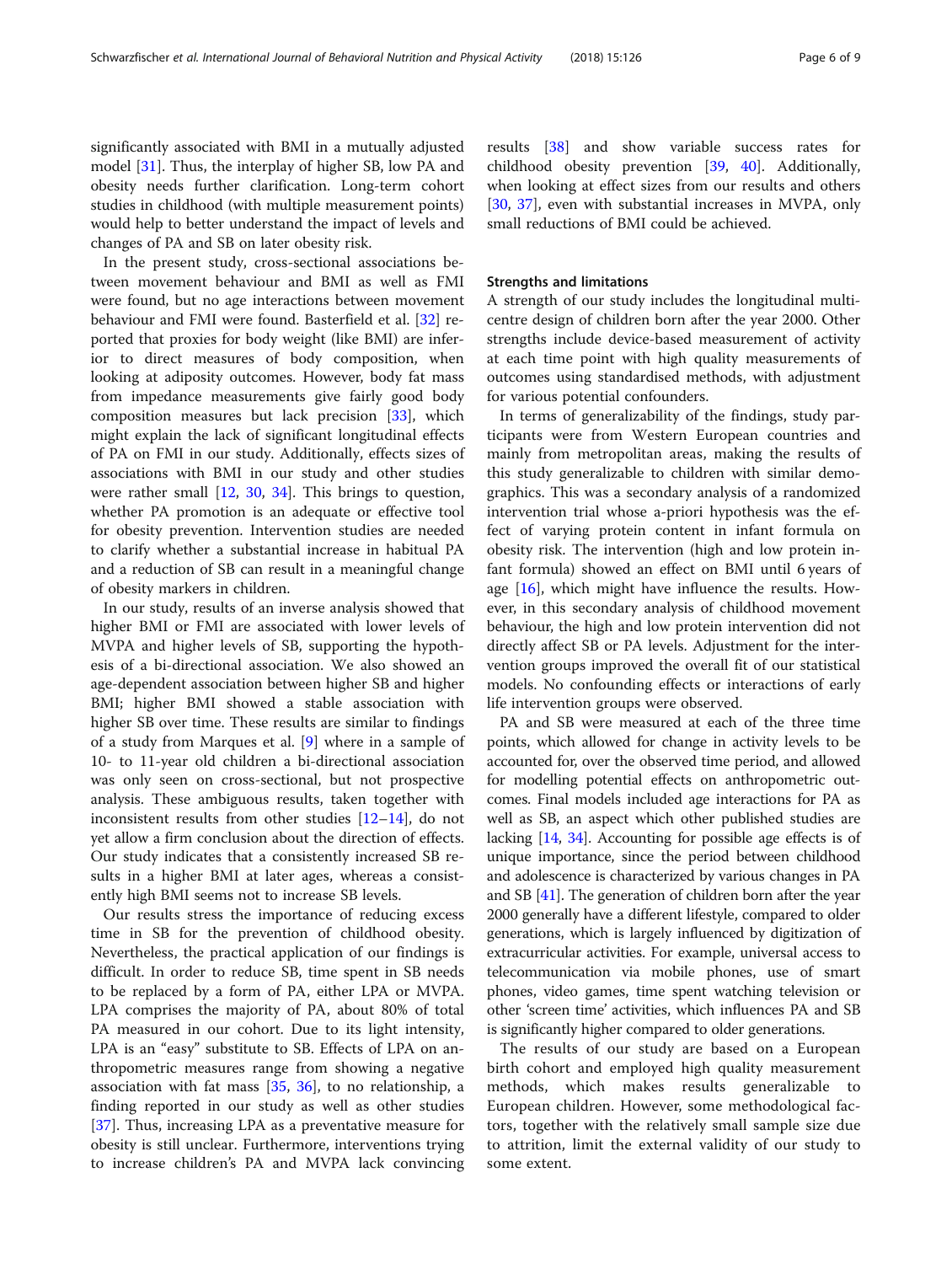significantly associated with BMI in a mutually adjusted model [\[31](#page-8-0)]. Thus, the interplay of higher SB, low PA and obesity needs further clarification. Long-term cohort studies in childhood (with multiple measurement points) would help to better understand the impact of levels and changes of PA and SB on later obesity risk.

In the present study, cross-sectional associations between movement behaviour and BMI as well as FMI were found, but no age interactions between movement behaviour and FMI were found. Basterfield et al. [[32\]](#page-8-0) reported that proxies for body weight (like BMI) are inferior to direct measures of body composition, when looking at adiposity outcomes. However, body fat mass from impedance measurements give fairly good body composition measures but lack precision [\[33\]](#page-8-0), which might explain the lack of significant longitudinal effects of PA on FMI in our study. Additionally, effects sizes of associations with BMI in our study and other studies were rather small [[12,](#page-7-0) [30,](#page-8-0) [34\]](#page-8-0). This brings to question, whether PA promotion is an adequate or effective tool for obesity prevention. Intervention studies are needed to clarify whether a substantial increase in habitual PA and a reduction of SB can result in a meaningful change of obesity markers in children.

In our study, results of an inverse analysis showed that higher BMI or FMI are associated with lower levels of MVPA and higher levels of SB, supporting the hypothesis of a bi-directional association. We also showed an age-dependent association between higher SB and higher BMI; higher BMI showed a stable association with higher SB over time. These results are similar to findings of a study from Marques et al. [\[9](#page-7-0)] where in a sample of 10- to 11-year old children a bi-directional association was only seen on cross-sectional, but not prospective analysis. These ambiguous results, taken together with inconsistent results from other studies [\[12](#page-7-0)–[14\]](#page-7-0), do not yet allow a firm conclusion about the direction of effects. Our study indicates that a consistently increased SB results in a higher BMI at later ages, whereas a consistently high BMI seems not to increase SB levels.

Our results stress the importance of reducing excess time in SB for the prevention of childhood obesity. Nevertheless, the practical application of our findings is difficult. In order to reduce SB, time spent in SB needs to be replaced by a form of PA, either LPA or MVPA. LPA comprises the majority of PA, about 80% of total PA measured in our cohort. Due to its light intensity, LPA is an "easy" substitute to SB. Effects of LPA on anthropometric measures range from showing a negative association with fat mass  $[35, 36]$  $[35, 36]$  $[35, 36]$  $[35, 36]$  $[35, 36]$ , to no relationship, a finding reported in our study as well as other studies [[37\]](#page-8-0). Thus, increasing LPA as a preventative measure for obesity is still unclear. Furthermore, interventions trying to increase children's PA and MVPA lack convincing results [[38](#page-8-0)] and show variable success rates for childhood obesity prevention [\[39,](#page-8-0) [40](#page-8-0)]. Additionally, when looking at effect sizes from our results and others [[30,](#page-8-0) [37](#page-8-0)], even with substantial increases in MVPA, only small reductions of BMI could be achieved.

## Strengths and limitations

A strength of our study includes the longitudinal multicentre design of children born after the year 2000. Other strengths include device-based measurement of activity at each time point with high quality measurements of outcomes using standardised methods, with adjustment for various potential confounders.

In terms of generalizability of the findings, study participants were from Western European countries and mainly from metropolitan areas, making the results of this study generalizable to children with similar demographics. This was a secondary analysis of a randomized intervention trial whose a-priori hypothesis was the effect of varying protein content in infant formula on obesity risk. The intervention (high and low protein infant formula) showed an effect on BMI until 6 years of age  $[16]$  $[16]$  $[16]$ , which might have influence the results. However, in this secondary analysis of childhood movement behaviour, the high and low protein intervention did not directly affect SB or PA levels. Adjustment for the intervention groups improved the overall fit of our statistical models. No confounding effects or interactions of early life intervention groups were observed.

PA and SB were measured at each of the three time points, which allowed for change in activity levels to be accounted for, over the observed time period, and allowed for modelling potential effects on anthropometric outcomes. Final models included age interactions for PA as well as SB, an aspect which other published studies are lacking [[14](#page-7-0), [34\]](#page-8-0). Accounting for possible age effects is of unique importance, since the period between childhood and adolescence is characterized by various changes in PA and SB [\[41\]](#page-8-0). The generation of children born after the year 2000 generally have a different lifestyle, compared to older generations, which is largely influenced by digitization of extracurricular activities. For example, universal access to telecommunication via mobile phones, use of smart phones, video games, time spent watching television or other 'screen time' activities, which influences PA and SB is significantly higher compared to older generations.

The results of our study are based on a European birth cohort and employed high quality measurement methods, which makes results generalizable to European children. However, some methodological factors, together with the relatively small sample size due to attrition, limit the external validity of our study to some extent.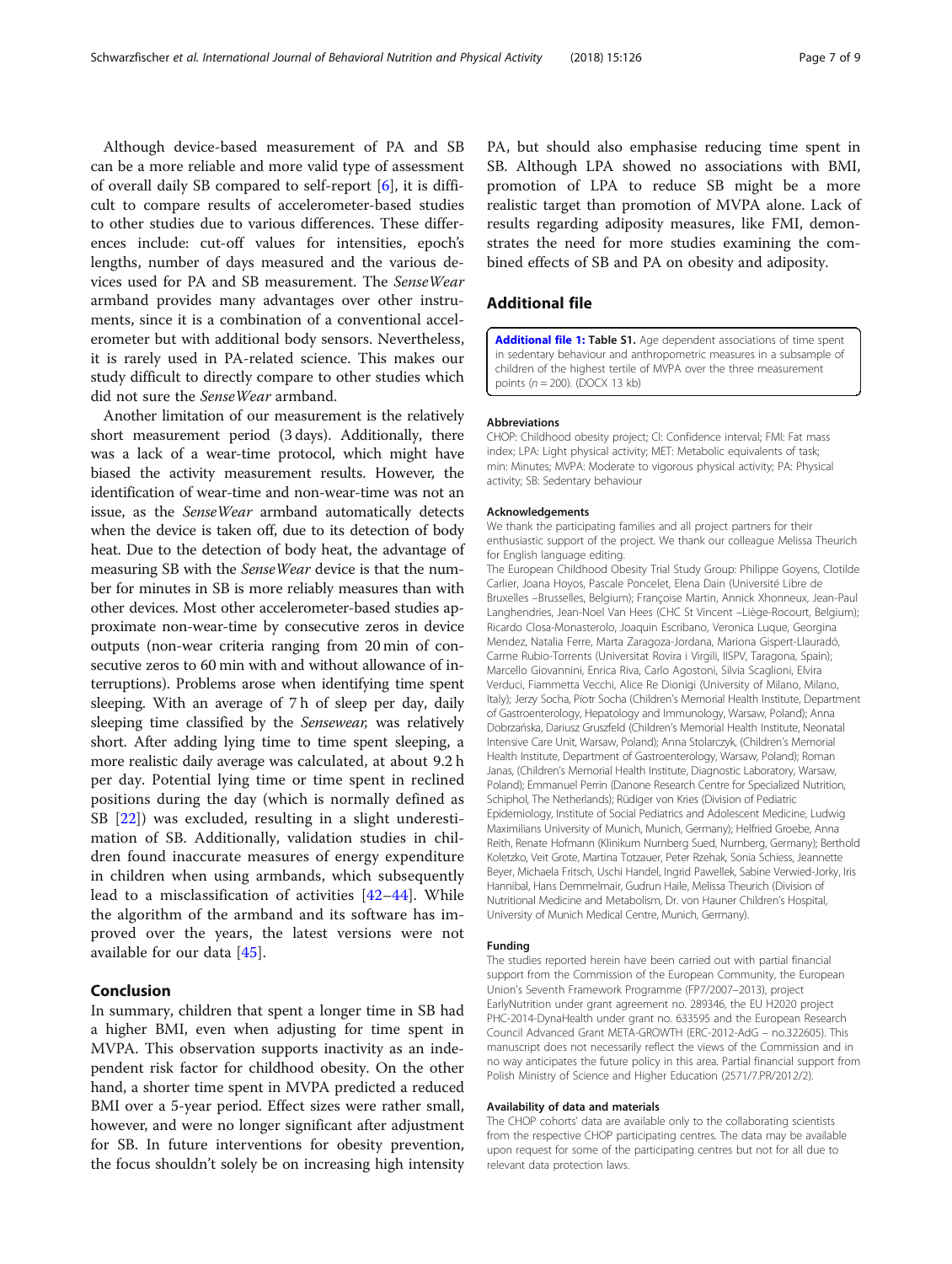<span id="page-6-0"></span>Although device-based measurement of PA and SB can be a more reliable and more valid type of assessment of overall daily SB compared to self-report [[6\]](#page-7-0), it is difficult to compare results of accelerometer-based studies to other studies due to various differences. These differences include: cut-off values for intensities, epoch's lengths, number of days measured and the various devices used for PA and SB measurement. The SenseWear armband provides many advantages over other instruments, since it is a combination of a conventional accelerometer but with additional body sensors. Nevertheless, it is rarely used in PA-related science. This makes our study difficult to directly compare to other studies which did not sure the SenseWear armband.

Another limitation of our measurement is the relatively short measurement period (3 days). Additionally, there was a lack of a wear-time protocol, which might have biased the activity measurement results. However, the identification of wear-time and non-wear-time was not an issue, as the SenseWear armband automatically detects when the device is taken off, due to its detection of body heat. Due to the detection of body heat, the advantage of measuring SB with the SenseWear device is that the number for minutes in SB is more reliably measures than with other devices. Most other accelerometer-based studies approximate non-wear-time by consecutive zeros in device outputs (non-wear criteria ranging from 20 min of consecutive zeros to 60 min with and without allowance of interruptions). Problems arose when identifying time spent sleeping. With an average of 7 h of sleep per day, daily sleeping time classified by the Sensewear, was relatively short. After adding lying time to time spent sleeping, a more realistic daily average was calculated, at about 9.2 h per day. Potential lying time or time spent in reclined positions during the day (which is normally defined as SB [\[22](#page-7-0)]) was excluded, resulting in a slight underestimation of SB. Additionally, validation studies in children found inaccurate measures of energy expenditure in children when using armbands, which subsequently lead to a misclassification of activities [\[42](#page-8-0)–[44](#page-8-0)]. While the algorithm of the armband and its software has improved over the years, the latest versions were not available for our data [\[45](#page-8-0)].

## Conclusion

In summary, children that spent a longer time in SB had a higher BMI, even when adjusting for time spent in MVPA. This observation supports inactivity as an independent risk factor for childhood obesity. On the other hand, a shorter time spent in MVPA predicted a reduced BMI over a 5-year period. Effect sizes were rather small, however, and were no longer significant after adjustment for SB. In future interventions for obesity prevention, the focus shouldn't solely be on increasing high intensity

PA, but should also emphasise reducing time spent in SB. Although LPA showed no associations with BMI, promotion of LPA to reduce SB might be a more realistic target than promotion of MVPA alone. Lack of results regarding adiposity measures, like FMI, demonstrates the need for more studies examining the combined effects of SB and PA on obesity and adiposity.

## Additional file

[Additional file 1:](https://doi.org/10.1186/s12966-018-0756-3) Table S1. Age dependent associations of time spent in sedentary behaviour and anthropometric measures in a subsample of children of the highest tertile of MVPA over the three measurement points ( $n = 200$ ). (DOCX 13 kb)

#### Abbreviations

CHOP: Childhood obesity project; CI: Confidence interval; FMI: Fat mass index; LPA: Light physical activity; MET: Metabolic equivalents of task; min: Minutes; MVPA: Moderate to vigorous physical activity; PA: Physical activity; SB: Sedentary behaviour

#### Acknowledgements

We thank the participating families and all project partners for their enthusiastic support of the project. We thank our colleague Melissa Theurich for English language editing.

The European Childhood Obesity Trial Study Group: Philippe Goyens, Clotilde Carlier, Joana Hoyos, Pascale Poncelet, Elena Dain (Université Libre de Bruxelles –Brusselles, Belgium); Françoise Martin, Annick Xhonneux, Jean-Paul Langhendries, Jean-Noel Van Hees (CHC St Vincent –Liège-Rocourt, Belgium); Ricardo Closa-Monasterolo, Joaquin Escribano, Veronica Luque, Georgina Mendez, Natalia Ferre, Marta Zaragoza-Jordana, Mariona Gispert-Llauradó, Carme Rubio-Torrents (Universitat Rovira i Virgili, IISPV, Taragona, Spain); Marcello Giovannini, Enrica Riva, Carlo Agostoni, Silvia Scaglioni, Elvira Verduci, Fiammetta Vecchi, Alice Re Dionigi (University of Milano, Milano, Italy); Jerzy Socha, Piotr Socha (Children's Memorial Health Institute, Department of Gastroenterology, Hepatology and Immunology, Warsaw, Poland); Anna Dobrzańska, Dariusz Gruszfeld (Children's Memorial Health Institute, Neonatal Intensive Care Unit, Warsaw, Poland); Anna Stolarczyk, (Children's Memorial Health Institute, Department of Gastroenterology, Warsaw, Poland); Roman Janas, (Children's Memorial Health Institute, Diagnostic Laboratory, Warsaw, Poland); Emmanuel Perrin (Danone Research Centre for Specialized Nutrition, Schiphol, The Netherlands); Rüdiger von Kries (Division of Pediatric Epidemiology, Institute of Social Pediatrics and Adolescent Medicine, Ludwig Maximilians University of Munich, Munich, Germany); Helfried Groebe, Anna Reith, Renate Hofmann (Klinikum Nurnberg Sued, Nurnberg, Germany); Berthold Koletzko, Veit Grote, Martina Totzauer, Peter Rzehak, Sonia Schiess, Jeannette Beyer, Michaela Fritsch, Uschi Handel, Ingrid Pawellek, Sabine Verwied-Jorky, Iris Hannibal, Hans Demmelmair, Gudrun Haile, Melissa Theurich (Division of Nutritional Medicine and Metabolism, Dr. von Hauner Children's Hospital, University of Munich Medical Centre, Munich, Germany).

## Funding

The studies reported herein have been carried out with partial financial support from the Commission of the European Community, the European Union's Seventh Framework Programme (FP7/2007–2013), project EarlyNutrition under grant agreement no. 289346, the EU H2020 project PHC-2014-DynaHealth under grant no. 633595 and the European Research Council Advanced Grant META-GROWTH (ERC-2012-AdG – no.322605). This manuscript does not necessarily reflect the views of the Commission and in no way anticipates the future policy in this area. Partial financial support from Polish Ministry of Science and Higher Education (2571/7.PR/2012/2).

#### Availability of data and materials

The CHOP cohorts' data are available only to the collaborating scientists from the respective CHOP participating centres. The data may be available upon request for some of the participating centres but not for all due to relevant data protection laws.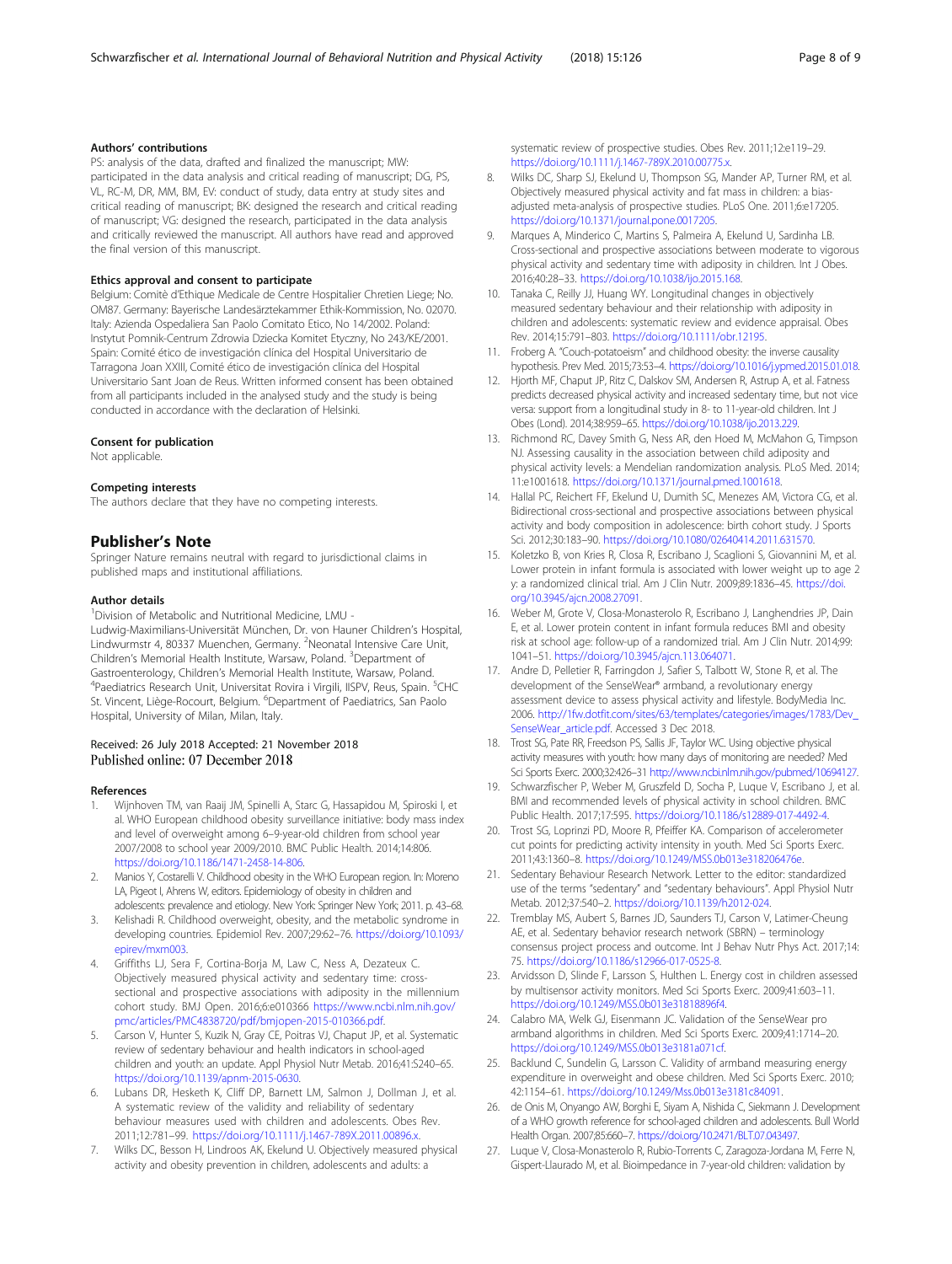## <span id="page-7-0"></span>Authors' contributions

PS: analysis of the data, drafted and finalized the manuscript; MW: participated in the data analysis and critical reading of manuscript; DG, PS, VL, RC-M, DR, MM, BM, EV: conduct of study, data entry at study sites and critical reading of manuscript; BK: designed the research and critical reading of manuscript; VG: designed the research, participated in the data analysis and critically reviewed the manuscript. All authors have read and approved the final version of this manuscript.

#### Ethics approval and consent to participate

Belgium: Comitè d'Ethique Medicale de Centre Hospitalier Chretien Liege; No. OM87. Germany: Bayerische Landesärztekammer Ethik-Kommission, No. 02070. Italy: Azienda Ospedaliera San Paolo Comitato Etico, No 14/2002. Poland: Instytut Pomnik-Centrum Zdrowia Dziecka Komitet Etyczny, No 243/KE/2001. Spain: Comité ético de investigación clínica del Hospital Universitario de Tarragona Joan XXIII, Comité ético de investigación clínica del Hospital Universitario Sant Joan de Reus. Written informed consent has been obtained from all participants included in the analysed study and the study is being conducted in accordance with the declaration of Helsinki.

#### Consent for publication

Not applicable.

#### Competing interests

The authors declare that they have no competing interests.

## Publisher's Note

Springer Nature remains neutral with regard to jurisdictional claims in published maps and institutional affiliations.

#### Author details

1 Division of Metabolic and Nutritional Medicine, LMU -

Ludwig-Maximilians-Universität München, Dr. von Hauner Children's Hospital, Lindwurmstr 4, 80337 Muenchen, Germany. <sup>2</sup>Neonatal Intensive Care Unit, Children's Memorial Health Institute, Warsaw, Poland. <sup>3</sup>Department of Gastroenterology, Children's Memorial Health Institute, Warsaw, Poland. <sup>4</sup> Paediatrics Research Unit, Universitat Rovira i Virgili, IISPV, Reus, Spain. <sup>5</sup>CHC St. Vincent, Liège-Rocourt, Belgium. <sup>6</sup>Department of Paediatrics, San Paolo Hospital, University of Milan, Milan, Italy.

#### Received: 26 July 2018 Accepted: 21 November 2018 Published online: 07 December 2018

#### References

- 1. Wijnhoven TM, van Raaij JM, Spinelli A, Starc G, Hassapidou M, Spiroski I, et al. WHO European childhood obesity surveillance initiative: body mass index and level of overweight among 6–9-year-old children from school year 2007/2008 to school year 2009/2010. BMC Public Health. 2014;14:806. [https://doi.org/10.1186/1471-2458-14-806.](https://doi.org/10.1186/1471-2458-14-806)
- 2. Manios Y, Costarelli V. Childhood obesity in the WHO European region. In: Moreno LA, Pigeot I, Ahrens W, editors. Epidemiology of obesity in children and adolescents: prevalence and etiology. New York: Springer New York; 2011. p. 43–68.
- 3. Kelishadi R. Childhood overweight, obesity, and the metabolic syndrome in developing countries. Epidemiol Rev. 2007;29:62–76. [https://doi.org/10.1093/](https://doi.org/10.1093/epirev/mxm003) [epirev/mxm003](https://doi.org/10.1093/epirev/mxm003).
- 4. Griffiths LJ, Sera F, Cortina-Borja M, Law C, Ness A, Dezateux C. Objectively measured physical activity and sedentary time: crosssectional and prospective associations with adiposity in the millennium cohort study. BMJ Open. 2016;6:e010366 [https://www.ncbi.nlm.nih.gov/](https://www.ncbi.nlm.nih.gov/pmc/articles/PMC4838720/pdf/bmjopen-2015-010366.pdf) [pmc/articles/PMC4838720/pdf/bmjopen-2015-010366.pdf.](https://www.ncbi.nlm.nih.gov/pmc/articles/PMC4838720/pdf/bmjopen-2015-010366.pdf)
- Carson V, Hunter S, Kuzik N, Gray CE, Poitras VJ, Chaput JP, et al. Systematic review of sedentary behaviour and health indicators in school-aged children and youth: an update. Appl Physiol Nutr Metab. 2016;41:S240–65. <https://doi.org/10.1139/apnm-2015-0630>.
- 6. Lubans DR, Hesketh K, Cliff DP, Barnett LM, Salmon J, Dollman J, et al. A systematic review of the validity and reliability of sedentary behaviour measures used with children and adolescents. Obes Rev. 2011;12:781–99. [https://doi.org/10.1111/j.1467-789X.2011.00896.x.](https://doi.org/10.1111/j.1467-789X.2011.00896.x)
- 7. Wilks DC, Besson H, Lindroos AK, Ekelund U. Objectively measured physical activity and obesity prevention in children, adolescents and adults: a

systematic review of prospective studies. Obes Rev. 2011;12:e119–29. [https://doi.org/10.1111/j.1467-789X.2010.00775.x.](https://doi.org/10.1111/j.1467-789X.2010.00775.x)

- 8. Wilks DC, Sharp SJ, Ekelund U, Thompson SG, Mander AP, Turner RM, et al. Objectively measured physical activity and fat mass in children: a biasadjusted meta-analysis of prospective studies. PLoS One. 2011;6:e17205. [https://doi.org/10.1371/journal.pone.0017205.](https://doi.org/10.1371/journal.pone.0017205)
- 9. Marques A, Minderico C, Martins S, Palmeira A, Ekelund U, Sardinha LB. Cross-sectional and prospective associations between moderate to vigorous physical activity and sedentary time with adiposity in children. Int J Obes. 2016;40:28–33. <https://doi.org/10.1038/ijo.2015.168>.
- 10. Tanaka C, Reilly JJ, Huang WY. Longitudinal changes in objectively measured sedentary behaviour and their relationship with adiposity in children and adolescents: systematic review and evidence appraisal. Obes Rev. 2014;15:791–803. [https://doi.org/10.1111/obr.12195.](https://doi.org/10.1111/obr.12195)
- 11. Froberg A. "Couch-potatoeism" and childhood obesity: the inverse causality hypothesis. Prev Med. 2015;73:53–4. [https://doi.org/10.1016/j.ypmed.2015.01.018.](https://doi.org/10.1016/j.ypmed.2015.01.018)
- 12. Hjorth MF, Chaput JP, Ritz C, Dalskov SM, Andersen R, Astrup A, et al. Fatness predicts decreased physical activity and increased sedentary time, but not vice versa: support from a longitudinal study in 8- to 11-year-old children. Int J Obes (Lond). 2014;38:959–65. [https://doi.org/10.1038/ijo.2013.229.](https://doi.org/10.1038/ijo.2013.229)
- 13. Richmond RC, Davey Smith G, Ness AR, den Hoed M, McMahon G, Timpson NJ. Assessing causality in the association between child adiposity and physical activity levels: a Mendelian randomization analysis. PLoS Med. 2014; 11:e1001618. <https://doi.org/10.1371/journal.pmed.1001618>.
- 14. Hallal PC, Reichert FF, Ekelund U, Dumith SC, Menezes AM, Victora CG, et al. Bidirectional cross-sectional and prospective associations between physical activity and body composition in adolescence: birth cohort study. J Sports Sci. 2012;30:183–90. [https://doi.org/10.1080/02640414.2011.631570.](https://doi.org/10.1080/02640414.2011.631570)
- 15. Koletzko B, von Kries R, Closa R, Escribano J, Scaglioni S, Giovannini M, et al. Lower protein in infant formula is associated with lower weight up to age 2 y: a randomized clinical trial. Am J Clin Nutr. 2009;89:1836–45. [https://doi.](https://doi.org/10.3945/ajcn.2008.27091) [org/10.3945/ajcn.2008.27091.](https://doi.org/10.3945/ajcn.2008.27091)
- 16. Weber M, Grote V, Closa-Monasterolo R, Escribano J, Langhendries JP, Dain E, et al. Lower protein content in infant formula reduces BMI and obesity risk at school age: follow-up of a randomized trial. Am J Clin Nutr. 2014;99: 1041–51. [https://doi.org/10.3945/ajcn.113.064071.](https://doi.org/10.3945/ajcn.113.064071)
- 17. Andre D, Pelletier R, Farringdon J, Safier S, Talbott W, Stone R, et al. The development of the SenseWear® armband, a revolutionary energy assessment device to assess physical activity and lifestyle. BodyMedia Inc. 2006. [http://1fw.dotfit.com/sites/63/templates/categories/images/1783/Dev\\_](http://1fw.dotfit.com/sites/63/templates/categories/images/1783/Dev_SenseWear_article.pdf) [SenseWear\\_article.pdf.](http://1fw.dotfit.com/sites/63/templates/categories/images/1783/Dev_SenseWear_article.pdf) Accessed 3 Dec 2018.
- 18. Trost SG, Pate RR, Freedson PS, Sallis JF, Taylor WC. Using objective physical activity measures with youth: how many days of monitoring are needed? Med Sci Sports Exerc. 2000;32:426–31 <http://www.ncbi.nlm.nih.gov/pubmed/10694127>.
- 19. Schwarzfischer P, Weber M, Gruszfeld D, Socha P, Luque V, Escribano J, et al. BMI and recommended levels of physical activity in school children. BMC Public Health. 2017;17:595. [https://doi.org/10.1186/s12889-017-4492-4.](https://doi.org/10.1186/s12889-017-4492-4)
- 20. Trost SG, Loprinzi PD, Moore R, Pfeiffer KA. Comparison of accelerometer cut points for predicting activity intensity in youth. Med Sci Sports Exerc. 2011;43:1360–8. <https://doi.org/10.1249/MSS.0b013e318206476e>.
- 21. Sedentary Behaviour Research Network. Letter to the editor: standardized use of the terms "sedentary" and "sedentary behaviours". Appl Physiol Nutr Metab. 2012;37:540–2. <https://doi.org/10.1139/h2012-024>.
- 22. Tremblay MS, Aubert S, Barnes JD, Saunders TJ, Carson V, Latimer-Cheung AE, et al. Sedentary behavior research network (SBRN) – terminology consensus project process and outcome. Int J Behav Nutr Phys Act. 2017;14: 75. <https://doi.org/10.1186/s12966-017-0525-8>.
- 23. Arvidsson D, Slinde F, Larsson S, Hulthen L. Energy cost in children assessed by multisensor activity monitors. Med Sci Sports Exerc. 2009;41:603–11. [https://doi.org/10.1249/MSS.0b013e31818896f4.](https://doi.org/10.1249/MSS.0b013e31818896f4)
- 24. Calabro MA, Welk GJ, Eisenmann JC. Validation of the SenseWear pro armband algorithms in children. Med Sci Sports Exerc. 2009;41:1714–20. <https://doi.org/10.1249/MSS.0b013e3181a071cf>.
- 25. Backlund C, Sundelin G, Larsson C. Validity of armband measuring energy expenditure in overweight and obese children. Med Sci Sports Exerc. 2010; 42:1154–61. [https://doi.org/10.1249/Mss.0b013e3181c84091.](https://doi.org/10.1249/Mss.0b013e3181c84091)
- 26. de Onis M, Onyango AW, Borghi E, Siyam A, Nishida C, Siekmann J. Development of a WHO growth reference for school-aged children and adolescents. Bull World Health Organ. 2007;85:660–7. [https://doi.org/10.2471/BLT.07.043497.](https://doi.org/10.2471/BLT.07.043497)
- 27. Luque V, Closa-Monasterolo R, Rubio-Torrents C, Zaragoza-Jordana M, Ferre N, Gispert-Llaurado M, et al. Bioimpedance in 7-year-old children: validation by